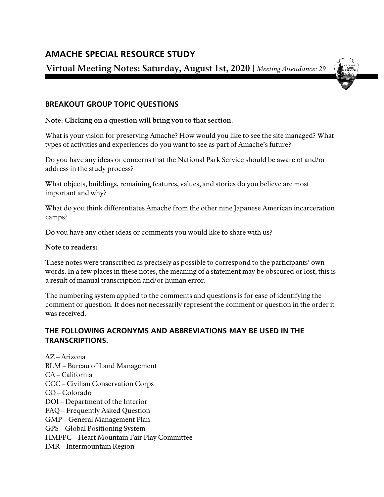# **AMACHE SPECIAL RESOURCE STUDY**

**Virtual Meeting Notes: Saturday, August 1st, 2020 |** *Meeting Attendance: 29*



# **BREAKOUT GROUP TOPIC QUESTIONS**

**Note: Clicking on a question will bring you to that section.**

What is your vision for [preserving Amache? How would you like](#page-1-0) to see the site managed? What [types of activities and](#page-1-0) experiences do you want to see as part of Amache's future?

Do you have any ideas or concerns that [the National Park](#page-4-0) Service should be aware of and/or [address in the](#page-4-0) study process?

What objects, buildings, remaining features, [values, and stories do you believe](#page-5-0) are most [important and](#page-5-0) why?

What do you think differentiates Amache from the other nine [Japanese American incarceration](#page-9-0) [camps?](#page-9-0)

Do you have any other [ideas or comments you would like](#page-10-0) to share with us?

## **Note to readers:**

These notes were transcribed as precisely as possible to correspond to the participants' own words. In a few places in these notes, the meaning of a statement may be obscured or lost; this is a result of manual transcription and/or human error.

The numbering system applied to the comments and questions is for ease of identifying the comment or question. It does not necessarily represent the comment or question in the order it was received.

## **THE FOLLOWING ACRONYMS AND ABBREVIATIONS MAY BE USED IN THE TRANSCRIPTIONS.**

AZ – Arizona BLM – Bureau of Land Management CA – California CCC – Civilian Conservation Corps CO – Colorado DOI – Department of the Interior FAQ – Frequently Asked Question GMP – General Management Plan GPS – Global Positioning System HMFPC – Heart Mountain Fair Play Committee IMR – Intermountain Region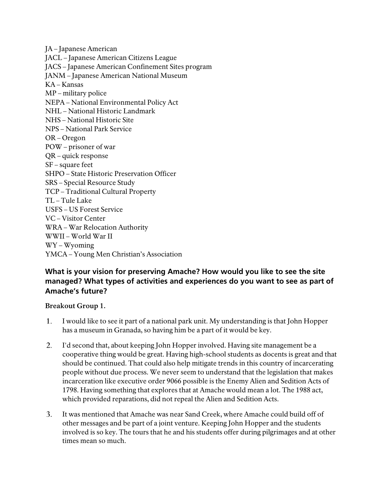JA – Japanese American JACL – Japanese American Citizens League JACS – Japanese American Confinement Sites program JANM – Japanese American National Museum KA – Kansas MP – military police NEPA – National Environmental Policy Act NHL – National Historic Landmark NHS – National Historic Site NPS – National Park Service OR – Oregon POW – prisoner of war QR – quick response SF – square feet SHPO – State Historic Preservation Officer SRS – Special Resource Study TCP – Traditional Cultural Property TL – Tule Lake USFS – US Forest Service VC – Visitor Center WRA – War Relocation Authority WWII – World War II WY – Wyoming YMCA – Young Men Christian's Association

## <span id="page-1-0"></span>**What is your vision for preserving Amache? How would you like to see the site managed? What types of activities and experiences do you want to see as part of Amache's future?**

## **Breakout Group 1.**

- I would like to see it part of a national park unit. My understanding is that John Hopper 1. has a museum in Granada, so having him be a part of it would be key.
- 2. I'd second that, about keeping John Hopper involved. Having site management be a cooperative thing would be great. Having high-school students as docents is great and that should be continued. That could also help mitigate trends in this country of incarcerating people without due process. We never seem to understand that the legislation that makes incarceration like executive order 9066 possible is the Enemy Alien and Sedition Acts of 1798. Having something that explores that at Amache would mean a lot. The 1988 act, which provided reparations, did not repeal the Alien and Sedition Acts.
- $3.$ It was mentioned that Amache was near Sand Creek, where Amache could build off of other messages and be part of a joint venture. Keeping John Hopper and the students involved is so key. The tours that he and his students offer during pilgrimages and at other times mean so much.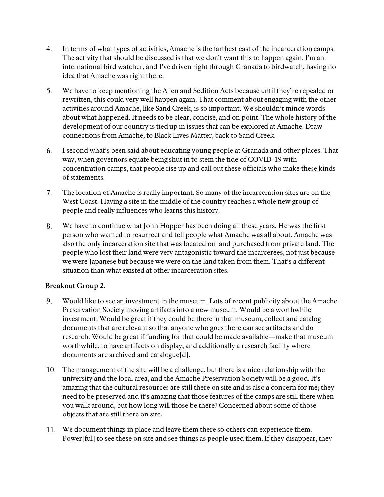- In terms of what types of activities, Amache is the farthest east of the incarceration camps. The activity that should be discussed is that we don't want this to happen again. I'm an international bird watcher, and I've driven right through Granada to birdwatch, having no idea that Amache was right there.
- 5. We have to keep mentioning the Alien and Sedition Acts because until they're repealed or rewritten, this could very well happen again. That comment about engaging with the other activities around Amache, like Sand Creek, is so important. We shouldn't mince words about what happened. It needs to be clear, concise, and on point. The whole history of the development of our country is tied up in issues that can be explored at Amache. Draw connections from Amache, to Black Lives Matter, back to Sand Creek.
- I second what's been said about educating young people at Granada and other places. That 6. way, when governors equate being shut in to stem the tide of COVID-19 with concentration camps, that people rise up and call out these officials who make these kinds of statements.
- 7. The location of Amache is really important. So many of the incarceration sites are on the West Coast. Having a site in the middle of the country reaches a whole new group of people and really influences who learns this history.
- 8. We have to continue what John Hopper has been doing all these years. He was the first person who wanted to resurrect and tell people what Amache was all about. Amache was also the only incarceration site that was located on land purchased from private land. The people who lost their land were very antagonistic toward the incarcerees, not just because we were Japanese but because we were on the land taken from them. That's a different situation than what existed at other incarceration sites.

## **Breakout Group 2.**

- Would like to see an investment in the museum. Lots of recent publicity about the Amache 9. Preservation Society moving artifacts into a new museum. Would be a worthwhile investment. Would be great if they could be there in that museum, collect and catalog documents that are relevant so that anyone who goes there can see artifacts and do research. Would be great if funding for that could be made available—make that museum worthwhile, to have artifacts on display, and additionally a research facility where documents are archived and catalogue[d].
- The management of the site will be a challenge, but there is a nice relationship with the university and the local area, and the Amache Preservation Society will be a good. It's amazing that the cultural resources are still there on site and is also a concern for me; they need to be preserved and it's amazing that those features of the camps are still there when you walk around, but how long will those be there? Concerned about some of those objects that are still there on site.
- We document things in place and leave them there so others can experience them. Power[ful] to see these on site and see things as people used them. If they disappear, they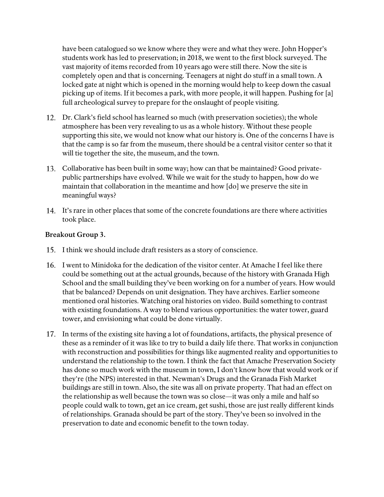have been catalogued so we know where they were and what they were. John Hopper's students work has led to preservation; in 2018, we went to the first block surveyed. The vast majority of items recorded from 10 years ago were still there. Now the site is completely open and that is concerning. Teenagers at night do stuff in a small town. A locked gate at night which is opened in the morning would help to keep down the casual picking up of items. If it becomes a park, with more people, it will happen. Pushing for [a] full archeological survey to prepare for the onslaught of people visiting.

- Dr. Clark's field school has learned so much (with preservation societies); the whole atmosphere has been very revealing to us as a whole history. Without these people supporting this site, we would not know what our history is. One of the concerns I have is that the camp is so far from the museum, there should be a central visitor center so that it will tie together the site, the museum, and the town.
- Collaborative has been built in some way; how can that be maintained? Good privatepublic partnerships have evolved. While we wait for the study to happen, how do we maintain that collaboration in the meantime and how [do] we preserve the site in meaningful ways?
- It's rare in other places that some of the concrete foundations are there where activities took place.

#### **Breakout Group 3.**

- 15. I think we should include draft resisters as a story of conscience.
- 16. I went to Minidoka for the dedication of the visitor center. At Amache I feel like there could be something out at the actual grounds, because of the history with Granada High School and the small building they've been working on for a number of years. How would that be balanced? Depends on unit designation. They have archives. Earlier someone mentioned oral histories. Watching oral histories on video. Build something to contrast with existing foundations. A way to blend various opportunities: the water tower, guard tower, and envisioning what could be done virtually.
- In terms of the existing site having a lot of foundations, artifacts, the physical presence of these as a reminder of it was like to try to build a daily life there. That works in conjunction with reconstruction and possibilities for things like augmented reality and opportunities to understand the relationship to the town. I think the fact that Amache Preservation Society has done so much work with the museum in town, I don't know how that would work or if they're (the NPS) interested in that. Newman's Drugs and the Granada Fish Market buildings are still in town. Also, the site was all on private property. That had an effect on the relationship as well because the town was so close—it was only a mile and half so people could walk to town, get an ice cream, get sushi, those are just really different kinds of relationships. Granada should be part of the story. They've been so involved in the preservation to date and economic benefit to the town today.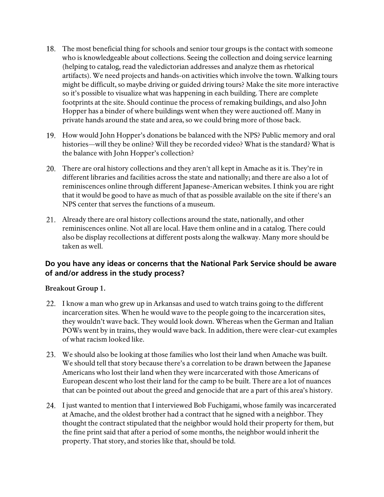- The most beneficial thing for schools and senior tour groups is the contact with someone who is knowledgeable about collections. Seeing the collection and doing service learning (helping to catalog, read the valedictorian addresses and analyze them as rhetorical artifacts). We need projects and hands-on activities which involve the town. Walking tours might be difficult, so maybe driving or guided driving tours? Make the site more interactive so it's possible to visualize what was happening in each building. There are complete footprints at the site. Should continue the process of remaking buildings, and also John Hopper has a binder of where buildings went when they were auctioned off. Many in private hands around the state and area, so we could bring more of those back.
- How would John Hopper's donations be balanced with the NPS? Public memory and oral histories—will they be online? Will they be recorded video? What is the standard? What is the balance with John Hopper's collection?
- There are oral history collections and they aren't all kept in Amache as it is. They're in different libraries and facilities across the state and nationally; and there are also a lot of reminiscences online through different Japanese-American websites. I think you are right that it would be good to have as much of that as possible available on the site if there's an NPS center that serves the functions of a museum.
- Already there are oral history collections around the state, nationally, and other reminiscences online. Not all are local. Have them online and in a catalog. There could also be display recollections at different posts along the walkway. Many more should be taken as well.

## <span id="page-4-0"></span>**Do you have any ideas or concerns that the National Park Service should be aware of and/or address in the study process?**

## **Breakout Group 1.**

- 22. I know a man who grew up in Arkansas and used to watch trains going to the different incarceration sites. When he would wave to the people going to the incarceration sites, they wouldn't wave back. They would look down. Whereas when the German and Italian POWs went by in trains, they would wave back. In addition, there were clear-cut examples of what racism looked like.
- We should also be looking at those families who lost their land when Amache was built. We should tell that story because there's a correlation to be drawn between the Japanese Americans who lost their land when they were incarcerated with those Americans of European descent who lost their land for the camp to be built. There are a lot of nuances that can be pointed out about the greed and genocide that are a part of this area's history.
- 24. I just wanted to mention that I interviewed Bob Fuchigami, whose family was incarcerated at Amache, and the oldest brother had a contract that he signed with a neighbor. They thought the contract stipulated that the neighbor would hold their property for them, but the fine print said that after a period of some months, the neighbor would inherit the property. That story, and stories like that, should be told.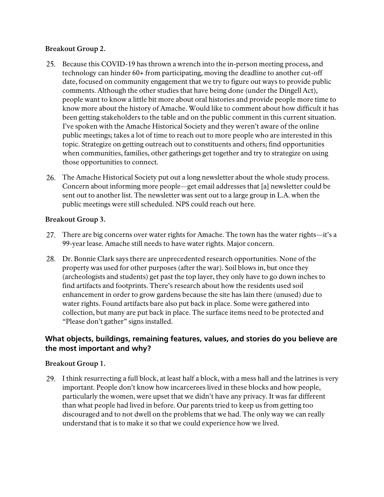## **Breakout Group 2.**

- 25. Because this COVID-19 has thrown a wrench into the in-person meeting process, and technology can hinder 60+ from participating, moving the deadline to another cut-off date, focused on community engagement that we try to figure out ways to provide public comments. Although the other studies that have being done (under the Dingell Act), people want to know a little bit more about oral histories and provide people more time to know more about the history of Amache. Would like to comment about how difficult it has been getting stakeholders to the table and on the public comment in this current situation. I've spoken with the Amache Historical Society and they weren't aware of the online public meetings; takes a lot of time to reach out to more people who are interested in this topic. Strategize on getting outreach out to constituents and others; find opportunities when communities, families, other gatherings get together and try to strategize on using those opportunities to connect.
- The Amache Historical Society put out a long newsletter about the whole study process. Concern about informing more people—get email addresses that [a] newsletter could be sent out to another list. The newsletter was sent out to a large group in L.A. when the public meetings were still scheduled. NPS could reach out here.

## **Breakout Group 3.**

- 27. There are big concerns over water rights for Amache. The town has the water rights—it's a 99-year lease. Amache still needs to have water rights. Major concern.
- Dr. Bonnie Clark says there are unprecedented research opportunities. None of the property was used for other purposes (after the war). Soil blows in, but once they (archeologists and students) get past the top layer, they only have to go down inches to find artifacts and footprints. There's research about how the residents used soil enhancement in order to grow gardens because the site has lain there (unused) due to water rights. Found artifacts bare also put back in place. Some were gathered into collection, but many are put back in place. The surface items need to be protected and "Please don't gather" signs installed.

# <span id="page-5-0"></span>**What objects, buildings, remaining features, values, and stories do you believe are the most important and why?**

## **Breakout Group 1.**

29. I think resurrecting a full block, at least half a block, with a mess hall and the latrines is very important. People don't know how incarcerees lived in these blocks and how people, particularly the women, were upset that we didn't have any privacy. It was far different than what people had lived in before. Our parents tried to keep us from getting too discouraged and to not dwell on the problems that we had. The only way we can really understand that is to make it so that we could experience how we lived.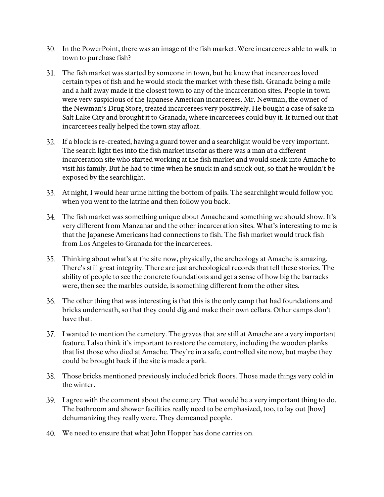- In the PowerPoint, there was an image of the fish market. Were incarcerees able to walk to town to purchase fish?
- The fish market was started by someone in town, but he knew that incarcerees loved certain types of fish and he would stock the market with these fish. Granada being a mile and a half away made it the closest town to any of the incarceration sites. People in town were very suspicious of the Japanese American incarcerees. Mr. Newman, the owner of the Newman's Drug Store, treated incarcerees very positively. He bought a case of sake in Salt Lake City and brought it to Granada, where incarcerees could buy it. It turned out that incarcerees really helped the town stay afloat.
- If a block is re-created, having a guard tower and a searchlight would be very important. The search light ties into the fish market insofar as there was a man at a different incarceration site who started working at the fish market and would sneak into Amache to visit his family. But he had to time when he snuck in and snuck out, so that he wouldn't be exposed by the searchlight.
- At night, I would hear urine hitting the bottom of pails. The searchlight would follow you when you went to the latrine and then follow you back.
- The fish market was something unique about Amache and something we should show. It's very different from Manzanar and the other incarceration sites. What's interesting to me is that the Japanese Americans had connections to fish. The fish market would truck fish from Los Angeles to Granada for the incarcerees.
- Thinking about what's at the site now, physically, the archeology at Amache is amazing. There's still great integrity. There are just archeological records that tell these stories. The ability of people to see the concrete foundations and get a sense of how big the barracks were, then see the marbles outside, is something different from the other sites.
- The other thing that was interesting is that this is the only camp that had foundations and bricks underneath, so that they could dig and make their own cellars. Other camps don't have that.
- 37. I wanted to mention the cemetery. The graves that are still at Amache are a very important feature. I also think it's important to restore the cemetery, including the wooden planks that list those who died at Amache. They're in a safe, controlled site now, but maybe they could be brought back if the site is made a park.
- Those bricks mentioned previously included brick floors. Those made things very cold in the winter.
- I agree with the comment about the cemetery. That would be a very important thing to do. The bathroom and shower facilities really need to be emphasized, too, to lay out [how] dehumanizing they really were. They demeaned people.
- We need to ensure that what John Hopper has done carries on.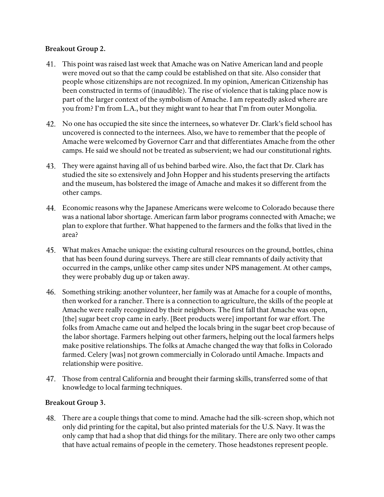## **Breakout Group 2.**

- This point was raised last week that Amache was on Native American land and people were moved out so that the camp could be established on that site. Also consider that people whose citizenships are not recognized. In my opinion, American Citizenship has been constructed in terms of (inaudible). The rise of violence that is taking place now is part of the larger context of the symbolism of Amache. I am repeatedly asked where are you from? I'm from L.A., but they might want to hear that I'm from outer Mongolia.
- No one has occupied the site since the internees, so whatever Dr. Clark's field school has uncovered is connected to the internees. Also, we have to remember that the people of Amache were welcomed by Governor Carr and that differentiates Amache from the other camps. He said we should not be treated as subservient; we had our constitutional rights.
- They were against having all of us behind barbed wire. Also, the fact that Dr. Clark has studied the site so extensively and John Hopper and his students preserving the artifacts and the museum, has bolstered the image of Amache and makes it so different from the other camps.
- Economic reasons why the Japanese Americans were welcome to Colorado because there was a national labor shortage. American farm labor programs connected with Amache; we plan to explore that further. What happened to the farmers and the folks that lived in the area?
- What makes Amache unique: the existing cultural resources on the ground, bottles, china that has been found during surveys. There are still clear remnants of daily activity that occurred in the camps, unlike other camp sites under NPS management. At other camps, they were probably dug up or taken away.
- 46. Something striking: another volunteer, her family was at Amache for a couple of months, then worked for a rancher. There is a connection to agriculture, the skills of the people at Amache were really recognized by their neighbors. The first fall that Amache was open, [the] sugar beet crop came in early. [Beet products were] important for war effort. The folks from Amache came out and helped the locals bring in the sugar beet crop because of the labor shortage. Farmers helping out other farmers, helping out the local farmers helps make positive relationships. The folks at Amache changed the way that folks in Colorado farmed. Celery [was] not grown commercially in Colorado until Amache. Impacts and relationship were positive.
- Those from central California and brought their farming skills, transferred some of that knowledge to local farming techniques.

## **Breakout Group 3.**

There are a couple things that come to mind. Amache had the silk-screen shop, which not only did printing for the capital, but also printed materials for the U.S. Navy. It was the only camp that had a shop that did things for the military. There are only two other camps that have actual remains of people in the cemetery. Those headstones represent people.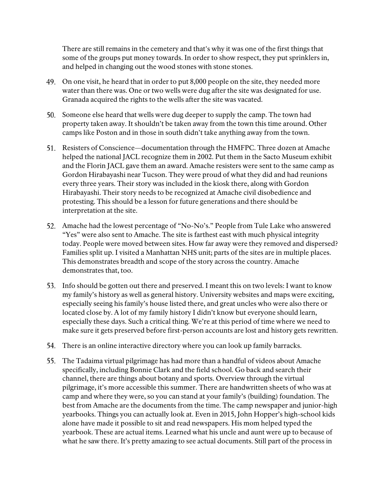There are still remains in the cemetery and that's why it was one of the first things that some of the groups put money towards. In order to show respect, they put sprinklers in, and helped in changing out the wood stones with stone stones.

- On one visit, he heard that in order to put 8,000 people on the site, they needed more water than there was. One or two wells were dug after the site was designated for use. Granada acquired the rights to the wells after the site was vacated.
- Someone else heard that wells were dug deeper to supply the camp. The town had property taken away. It shouldn't be taken away from the town this time around. Other camps like Poston and in those in south didn't take anything away from the town.
- 51. Resisters of Conscience—documentation through the HMFPC. Three dozen at Amache helped the national JACL recognize them in 2002. Put them in the Sacto Museum exhibit and the Florin JACL gave them an award. Amache resisters were sent to the same camp as Gordon Hirabayashi near Tucson. They were proud of what they did and had reunions every three years. Their story was included in the kiosk there, along with Gordon Hirabayashi. Their story needs to be recognized at Amache civil disobedience and protesting. This should be a lesson for future generations and there should be interpretation at the site.
- Amache had the lowest percentage of "No-No's." People from Tule Lake who answered "Yes" were also sent to Amache. The site is farthest east with much physical integrity today. People were moved between sites. How far away were they removed and dispersed? Families split up. I visited a Manhattan NHS unit; parts of the sites are in multiple places. This demonstrates breadth and scope of the story across the country. Amache demonstrates that, too.
- Info should be gotten out there and preserved. I meant this on two levels: I want to know my family's history as well as general history. University websites and maps were exciting, especially seeing his family's house listed there, and great uncles who were also there or located close by. A lot of my family history I didn't know but everyone should learn, especially these days. Such a critical thing. We're at this period of time where we need to make sure it gets preserved before first-person accounts are lost and history gets rewritten.
- There is an online interactive directory where you can look up family barracks.
- The Tadaima virtual pilgrimage has had more than a handful of videos about Amache specifically, including Bonnie Clark and the field school. Go back and search their channel, there are things about botany and sports. Overview through the virtual pilgrimage, it's more accessible this summer. There are handwritten sheets of who was at camp and where they were, so you can stand at your family's (building) foundation. The best from Amache are the documents from the time. The camp newspaper and junior-high yearbooks. Things you can actually look at. Even in 2015, John Hopper's high-school kids alone have made it possible to sit and read newspapers. His mom helped typed the yearbook. These are actual items. Learned what his uncle and aunt were up to because of what he saw there. It's pretty amazing to see actual documents. Still part of the process in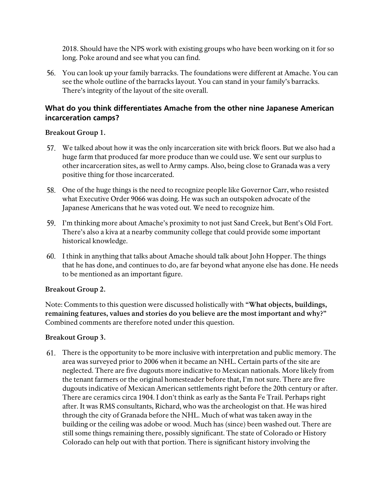2018. Should have the NPS work with existing groups who have been working on it for so long. Poke around and see what you can find.

56. You can look up your family barracks. The foundations were different at Amache. You can see the whole outline of the barracks layout. You can stand in your family's barracks. There's integrity of the layout of the site overall.

## <span id="page-9-0"></span>**What do you think differentiates Amache from the other nine Japanese American incarceration camps?**

#### **Breakout Group 1.**

- We talked about how it was the only incarceration site with brick floors. But we also had a huge farm that produced far more produce than we could use. We sent our surplus to other incarceration sites, as well to Army camps. Also, being close to Granada was a very positive thing for those incarcerated.
- One of the huge things is the need to recognize people like Governor Carr, who resisted what Executive Order 9066 was doing. He was such an outspoken advocate of the Japanese Americans that he was voted out. We need to recognize him.
- I'm thinking more about Amache's proximity to not just Sand Creek, but Bent's Old Fort. There's also a kiva at a nearby community college that could provide some important historical knowledge.
- I think in anything that talks about Amache should talk about John Hopper. The things that he has done, and continues to do, are far beyond what anyone else has done. He needs to be mentioned as an important figure.

## **Breakout Group 2.**

Note: Comments to this question were discussed holistically with **"What objects, buildings, remaining features, values and stories do you believe are the most important and why?"**  Combined comments are therefore noted under this question.

#### **Breakout Group 3.**

There is the opportunity to be more inclusive with interpretation and public memory. The area was surveyed prior to 2006 when it became an NHL. Certain parts of the site are neglected. There are five dugouts more indicative to Mexican nationals. More likely from the tenant farmers or the original homesteader before that, I'm not sure. There are five dugouts indicative of Mexican American settlements right before the 20th century or after. There are ceramics circa 1904. I don't think as early as the Santa Fe Trail. Perhaps right after. It was RMS consultants, Richard, who was the archeologist on that. He was hired through the city of Granada before the NHL. Much of what was taken away in the building or the ceiling was adobe or wood. Much has (since) been washed out. There are still some things remaining there, possibly significant. The state of Colorado or History Colorado can help out with that portion. There is significant history involving the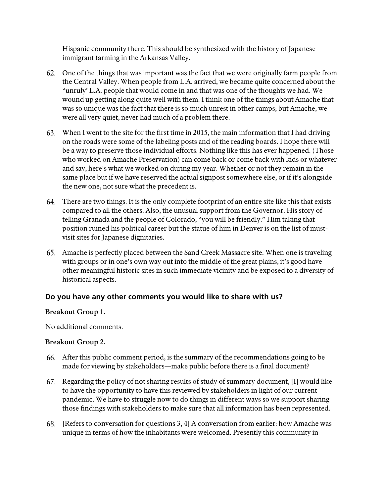Hispanic community there. This should be synthesized with the history of Japanese immigrant farming in the Arkansas Valley.

- One of the things that was important was the fact that we were originally farm people from the Central Valley. When people from L.A. arrived, we became quite concerned about the "unruly' L.A. people that would come in and that was one of the thoughts we had. We wound up getting along quite well with them. I think one of the things about Amache that was so unique was the fact that there is so much unrest in other camps; but Amache, we were all very quiet, never had much of a problem there.
- When I went to the site for the first time in 2015, the main information that I had driving on the roads were some of the labeling posts and of the reading boards. I hope there will be a way to preserve those individual efforts. Nothing like this has ever happened. (Those who worked on Amache Preservation) can come back or come back with kids or whatever and say, here's what we worked on during my year. Whether or not they remain in the same place but if we have reserved the actual signpost somewhere else, or if it's alongside the new one, not sure what the precedent is.
- There are two things. It is the only complete footprint of an entire site like this that exists compared to all the others. Also, the unusual support from the Governor. His story of telling Granada and the people of Colorado, "you will be friendly." Him taking that position ruined his political career but the statue of him in Denver is on the list of mustvisit sites for Japanese dignitaries.
- Amache is perfectly placed between the Sand Creek Massacre site. When one is traveling with groups or in one's own way out into the middle of the great plains, it's good have other meaningful historic sites in such immediate vicinity and be exposed to a diversity of historical aspects.

## <span id="page-10-0"></span>**Do you have any other comments you would like to share with us?**

#### **Breakout Group 1.**

No additional comments.

#### **Breakout Group 2.**

- After this public comment period, is the summary of the recommendations going to be made for viewing by stakeholders—make public before there is a final document?
- 67. Regarding the policy of not sharing results of study of summary document, [I] would like to have the opportunity to have this reviewed by stakeholders in light of our current pandemic. We have to struggle now to do things in different ways so we support sharing those findings with stakeholders to make sure that all information has been represented.
- [Refers to conversation for questions 3, 4] A conversation from earlier: how Amache was unique in terms of how the inhabitants were welcomed. Presently this community in